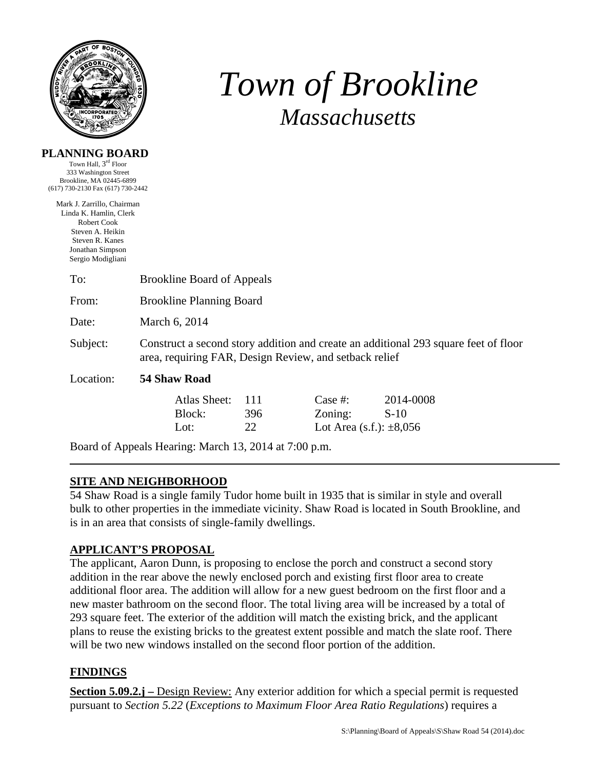

**PLANNING BOARD** 

# *Town of Brookline Massachusetts*

| Town Hall, 3 <sup>rd</sup> Floor<br>333 Washington Street<br>Brookline, MA 02445-6899<br>(617) 730-2130 Fax (617) 730-2442                          |                                                                                                                                               |                  |                                                          |                     |  |  |
|-----------------------------------------------------------------------------------------------------------------------------------------------------|-----------------------------------------------------------------------------------------------------------------------------------------------|------------------|----------------------------------------------------------|---------------------|--|--|
| Mark J. Zarrillo, Chairman<br>Linda K. Hamlin, Clerk<br>Robert Cook<br>Steven A. Heikin<br>Steven R. Kanes<br>Jonathan Simpson<br>Sergio Modigliani |                                                                                                                                               |                  |                                                          |                     |  |  |
| To:                                                                                                                                                 | <b>Brookline Board of Appeals</b>                                                                                                             |                  |                                                          |                     |  |  |
| From:                                                                                                                                               | <b>Brookline Planning Board</b>                                                                                                               |                  |                                                          |                     |  |  |
| Date:                                                                                                                                               | March 6, 2014                                                                                                                                 |                  |                                                          |                     |  |  |
| Subject:                                                                                                                                            | Construct a second story addition and create an additional 293 square feet of floor<br>area, requiring FAR, Design Review, and setback relief |                  |                                                          |                     |  |  |
| Location:                                                                                                                                           | <b>54 Shaw Road</b>                                                                                                                           |                  |                                                          |                     |  |  |
|                                                                                                                                                     | Atlas Sheet:<br>Block:<br>Lot:                                                                                                                | 111<br>396<br>22 | Case $#$ :<br>Zoning:<br>Lot Area $(s.f.)$ : $\pm 8,056$ | 2014-0008<br>$S-10$ |  |  |
| Board of Appeals Hearing: March 13, 2014 at 7:00 p.m.                                                                                               |                                                                                                                                               |                  |                                                          |                     |  |  |

#### **SITE AND NEIGHBORHOOD**

54 Shaw Road is a single family Tudor home built in 1935 that is similar in style and overall bulk to other properties in the immediate vicinity. Shaw Road is located in South Brookline, and is in an area that consists of single-family dwellings.

## **APPLICANT'S PROPOSAL**

The applicant, Aaron Dunn, is proposing to enclose the porch and construct a second story addition in the rear above the newly enclosed porch and existing first floor area to create additional floor area. The addition will allow for a new guest bedroom on the first floor and a new master bathroom on the second floor. The total living area will be increased by a total of 293 square feet. The exterior of the addition will match the existing brick, and the applicant plans to reuse the existing bricks to the greatest extent possible and match the slate roof. There will be two new windows installed on the second floor portion of the addition.

#### **FINDINGS**

**Section 5.09.2.j** – Design Review: Any exterior addition for which a special permit is requested pursuant to *Section 5.22* (*Exceptions to Maximum Floor Area Ratio Regulations*) requires a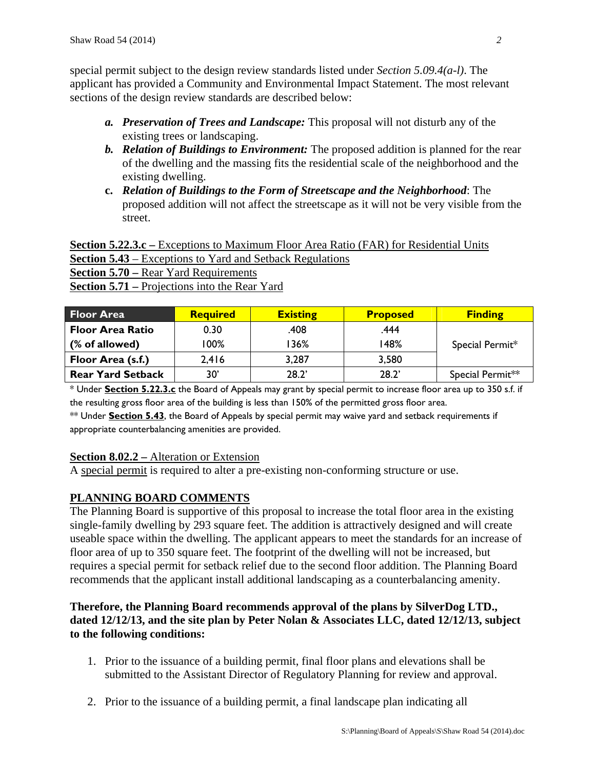special permit subject to the design review standards listed under *Section 5.09.4(a-l)*. The applicant has provided a Community and Environmental Impact Statement. The most relevant sections of the design review standards are described below:

- *a. Preservation of Trees and Landscape:* This proposal will not disturb any of the existing trees or landscaping.
- *b. Relation of Buildings to Environment:* The proposed addition is planned for the rear of the dwelling and the massing fits the residential scale of the neighborhood and the existing dwelling.
- **c.** *Relation of Buildings to the Form of Streetscape and the Neighborhood*: The proposed addition will not affect the streetscape as it will not be very visible from the street.

**Section 5.22.3.c** – Exceptions to Maximum Floor Area Ratio (FAR) for Residential Units **Section 5.43** – Exceptions to Yard and Setback Regulations **Section 5.70 –** Rear Yard Requirements **Section 5.71 –** Projections into the Rear Yard

| <b>Floor Area</b>        | <b>Required</b> | <b>Existing</b> | <b>Proposed</b> | <b>Finding</b>   |  |
|--------------------------|-----------------|-----------------|-----------------|------------------|--|
| <b>Floor Area Ratio</b>  | 0.30            | .408            | .444            |                  |  |
| (% of allowed)           | l 00%           | l 36%           | 148%            | Special Permit*  |  |
| Floor Area (s.f.)        | 2,416           | 3,287           | 3,580           |                  |  |
| <b>Rear Yard Setback</b> | 30'             | 28.2'           | 28.2'           | Special Permit** |  |

\* Under **Section 5.22.3.c** the Board of Appeals may grant by special permit to increase floor area up to 350 s.f. if the resulting gross floor area of the building is less than 150% of the permitted gross floor area.

\*\* Under **Section 5.43**, the Board of Appeals by special permit may waive yard and setback requirements if appropriate counterbalancing amenities are provided.

## **Section 8.02.2 –** Alteration or Extension

A special permit is required to alter a pre-existing non-conforming structure or use.

# **PLANNING BOARD COMMENTS**

The Planning Board is supportive of this proposal to increase the total floor area in the existing single-family dwelling by 293 square feet. The addition is attractively designed and will create useable space within the dwelling. The applicant appears to meet the standards for an increase of floor area of up to 350 square feet. The footprint of the dwelling will not be increased, but requires a special permit for setback relief due to the second floor addition. The Planning Board recommends that the applicant install additional landscaping as a counterbalancing amenity.

# **Therefore, the Planning Board recommends approval of the plans by SilverDog LTD., dated 12/12/13, and the site plan by Peter Nolan & Associates LLC, dated 12/12/13, subject to the following conditions:**

- 1. Prior to the issuance of a building permit, final floor plans and elevations shall be submitted to the Assistant Director of Regulatory Planning for review and approval.
- 2. Prior to the issuance of a building permit, a final landscape plan indicating all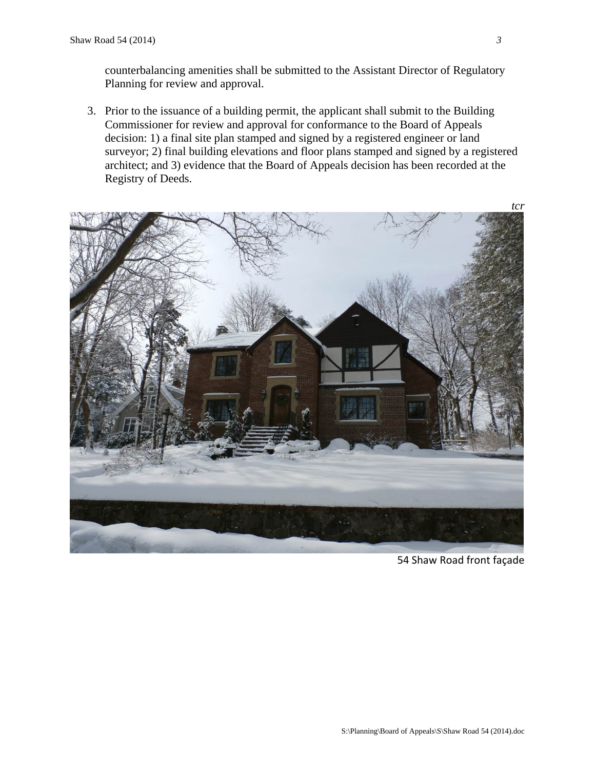counterbalancing amenities shall be submitted to the Assistant Director of Regulatory Planning for review and approval.

3. Prior to the issuance of a building permit, the applicant shall submit to the Building Commissioner for review and approval for conformance to the Board of Appeals decision: 1) a final site plan stamped and signed by a registered engineer or land surveyor; 2) final building elevations and floor plans stamped and signed by a registered architect; and 3) evidence that the Board of Appeals decision has been recorded at the Registry of Deeds.



54 Shaw Road front façade